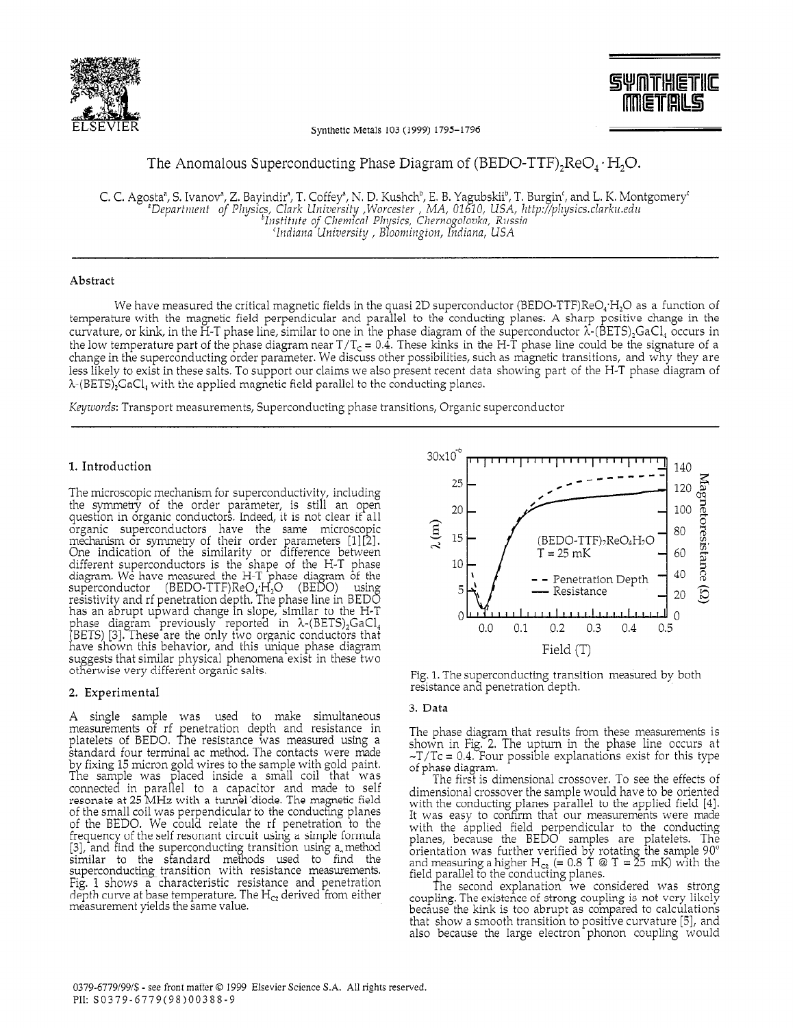

**SYNTHETIC METALS** 

Synthetic Metals 103 (1999) 1795-1796

# The Anomalous Superconducting Phase Diagram of (BEDO-TTF)<sub>2</sub>ReO<sub>4</sub>  $\cdot$  H<sub>2</sub>O.

C. C. Agosta<sup>n</sup>, S. Ivanov<sup>n</sup>, Z. Bayindir<sup>n</sup>, T. Coffey<sup>n</sup>, N. D. Kushch<sup>b</sup>, E. B. Yagubskii<sup>b</sup>, T. Burgin<sup>c</sup>, and L. K. Montgomery<sup>c</sup><br>"Department of Physics, Clark University , Worcester , MA, 01610, USA, http://physics. 'Indiana University, Bloomington, Indiana, USA

## Abstract

We have measured the critical magnetic fields in the quasi 2D superconductor (BEDO-TTF)ReO<sub>4</sub>·H<sub>2</sub>O as a function of temperature with the magnetic field perpendicular and parallel to the conducting planes. A sharp positive change in the curvature, or kink, in the H-T phase line, similar to one in the phase diagram of the superconductor  $\lambda$ -(BETS)<sub>2</sub>GaCl, occurs in the low temperature part of the phase diagram near  $T/T_c = 0.\dot{4}$ . These kinks in the H-T phase line could be the signature of a change in the superconducting order parameter. We discuss other possibilities, such as magnetic transitions, and why they are less likely to exist in these salts. To support our claims we also present recent data showing part of the H-T phase diagram of  $\lambda$ -(BETS)<sub>2</sub>GaCl, with the applied magnetic field parallel to the conducting planes.

Keywords: Transport measurements, Superconducting phase transitions, Organic superconductor

### 1. Introduction

The microscopic mechanism for superconductivity, including<br>the symmetry of the order parameter, is still an open question in organic conductors. Indeed, it is not clear if all organic superconductors have the same microscopic<br>mechanism or symmetry of their order parameters [1][2]. One indication of the similarity or difference between different superconductors is the shape of the H-T phase<br>diagram. We have measured the H-T phase diagram of the<br>superconductor (BEDO-TTF)ReO<sub>4</sub>:H<sub>2</sub>O (BEDO) using<br>resistivity and rf penetration depth. The phase line in BEDO has an abrupt upward change in slope, similar to the H-T<br>thase diagram previously reported in  $\lambda$ -(BETS)<sub>2</sub>GaCl<sub>4</sub><br>(BETS) [3]. These are the only two organic conductors that have shown this behavior, and this unique phase diagram suggests that similar physical phenomena exist in these two otherwise very different organic salts.

## 2. Experimental

A single sample was used to make simultaneous<br>measurements of rf penetration depth and resistance in<br>platelets of BEDO. The resistance was measured using a<br>standard four terminal ac method. The contacts were made by fixing 15 micron gold wires to the sample with gold paint. The sample was placed inside a small coil that was connected in parallel to a capacitor and made to self resonate at 25 MHz with a tunnel diode. The magnetic field of the small coil was perpendicular to the conducting planes of the BEDO. We could relate the rf penetration to the frequency of the self resonant circuit using a simple formula [3], and find the superconducting transition using a method similar to the standard methods used to find the superconducting transition with resistance measurements.<br>Fig. 1 shows a characteristic resistance and penetration depth curve at base temperature. The  $H_{c2}$  derived from either measurement yields the same value.



Fig. 1. The superconducting transition measured by both resistance and penetration depth.

#### 3. Data

The phase diagram that results from these measurements is shown in Fig. 2. The upturn in the phase line occurs at  $\sim$ T/Tc = 0.4. Four possible explanations exist for this type of phase diagram.

The first is dimensional crossover. To see the effects of dimensional crossover the sample would have to be oriented with the conducting planes parallel to the applied field [4].<br>It was easy to confirm that our measurements were made<br>with the applied field perpendicular to the conducting<br>planes, because the BEDO samples are platelets. T

The second explanation we considered was strong coupling. The existence of strong coupling is not very likely because the kink is too abrupt as compared to calculations that show a smooth transition to positive curvature [5], and also because the large electron phonon coupling would